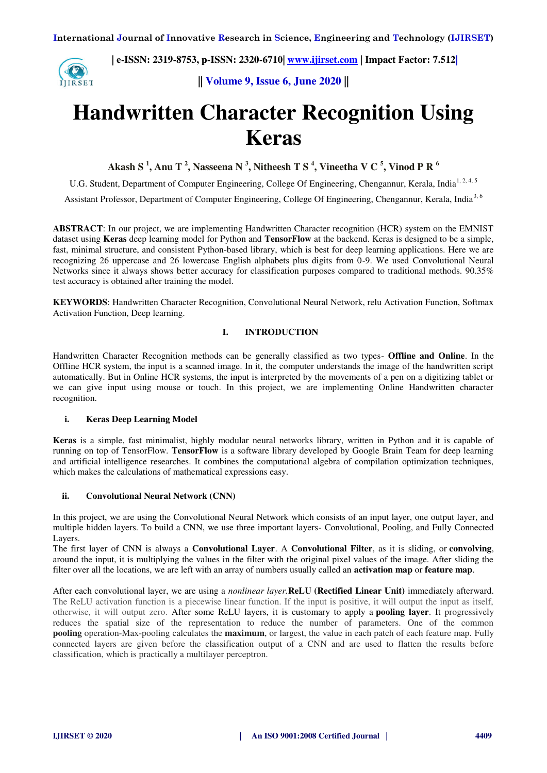**IIRSET** 

 **| e-ISSN: 2319-8753, p-ISSN: 2320-6710| [www.ijirset.com](http://www.ijirset.com/) | Impact Factor: 7.512|**

**|| Volume 9, Issue 6, June 2020 ||** 

# **Handwritten Character Recognition Using Keras**

**Akash S <sup>1</sup> , Anu T <sup>2</sup> , Nasseena N <sup>3</sup> , Nitheesh T S <sup>4</sup> , Vineetha V C <sup>5</sup> , Vinod P R <sup>6</sup>**

U.G. Student, Department of Computer Engineering, College Of Engineering, Chengannur, Kerala, India<sup>1, 2, 4, 5</sup>

Assistant Professor, Department of Computer Engineering, College Of Engineering, Chengannur, Kerala, India<sup>3, 6</sup>

**ABSTRACT**: In our project, we are implementing Handwritten Character recognition (HCR) system on the EMNIST dataset using **Keras** deep learning model for Python and **TensorFlow** at the backend. Keras is designed to be a simple, fast, minimal structure, and consistent Python-based library, which is best for deep learning applications. Here we are recognizing 26 uppercase and 26 lowercase English alphabets plus digits from 0-9. We used Convolutional Neural Networks since it always shows better accuracy for classification purposes compared to traditional methods. 90.35% test accuracy is obtained after training the model.

**KEYWORDS**: Handwritten Character Recognition, Convolutional Neural Network, relu Activation Function, Softmax Activation Function, Deep learning.

# **I. INTRODUCTION**

Handwritten Character Recognition methods can be generally classified as two types- **Offline and Online**. In the Offline HCR system, the input is a scanned image. In it, the computer understands the image of the handwritten script automatically. But in Online HCR systems, the input is interpreted by the movements of a pen on a digitizing tablet or we can give input using mouse or touch. In this project, we are implementing Online Handwritten character recognition.

#### **i. Keras Deep Learning Model**

**Keras** is a simple, fast minimalist, highly modular neural networks library, written in Python and it is capable of running on top of TensorFlow. **TensorFlow** is a software library developed by Google Brain Team for deep learning and artificial intelligence researches. It combines the computational algebra of compilation optimization techniques, which makes the calculations of mathematical expressions easy.

# **ii. Convolutional Neural Network (CNN)**

In this project, we are using the Convolutional Neural Network which consists of an input layer, one output layer, and multiple hidden layers. To build a CNN, we use three important layers- Convolutional, Pooling, and Fully Connected Layers.

The first layer of CNN is always a **Convolutional Layer**. A **Convolutional Filter**, as it is sliding, or **convolving**, around the input, it is multiplying the values in the filter with the original pixel values of the image. After sliding the filter over all the locations, we are left with an array of numbers usually called an **activation map** or **feature map**.

After each convolutional layer, we are using a *nonlinear layer.***ReLU (Rectified Linear Unit)** immediately afterward. The ReLU activation function is a piecewise linear function. If the input is positive, it will output the input as itself, otherwise, it will output zero. After some ReLU layers, it is customary to apply a **pooling layer**. It progressively reduces the spatial size of the representation to reduce the number of parameters. One of the common **pooling** operation-Max-pooling calculates the **maximum**, or largest, the value in each patch of each feature map. Fully connected layers are given before the classification output of a CNN and are used to flatten the results before classification, which is practically a multilayer perceptron.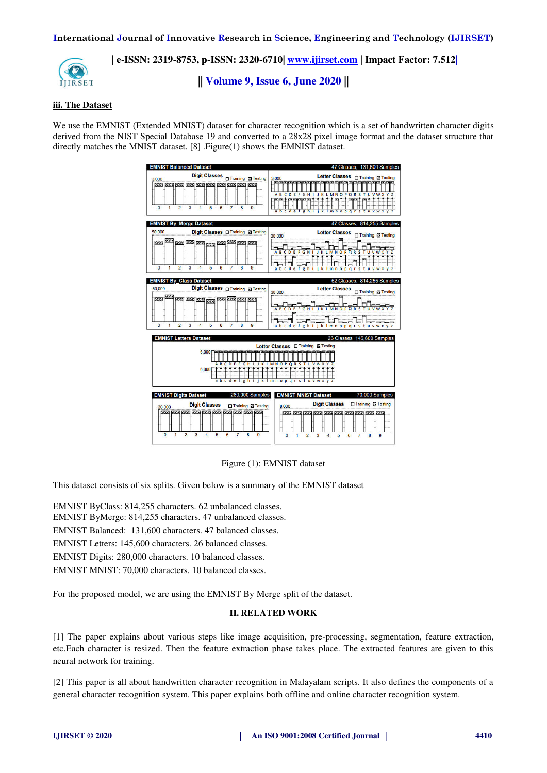

**|| Volume 9, Issue 6, June 2020 ||** 

# **iii. The Dataset**

We use the EMNIST (Extended MNIST) dataset for character recognition which is a set of handwritten character digits derived from the NIST Special Database 19 and converted to a 28x28 pixel image format and the dataset structure that directly matches the MNIST dataset. [8] .Figure(1) shows the EMNIST dataset.

| <b>EMNIST Balanced Dataset</b>                                                                                                                                                                           | 47 Classes, 131,600 Samples                                                                                                                                                            |  |  |
|----------------------------------------------------------------------------------------------------------------------------------------------------------------------------------------------------------|----------------------------------------------------------------------------------------------------------------------------------------------------------------------------------------|--|--|
| 3.000<br><b>THE WELL YIELD</b><br><b><i><u>VINA WINA</u></i></b><br>3<br>$\Omega$<br>$\overline{2}$<br>$\overline{4}$<br>5<br>6<br>$\overline{7}$<br>8<br>$\mathbf{q}$<br>$\mathbf{1}$                   | Letter Classes <sub>[1]</sub> Training <b>23 Testing</b><br>3.000<br>klmnopars<br>abcdef<br>e h<br>tuvw                                                                                |  |  |
| <b>EMNIST By Merge Dataset</b>                                                                                                                                                                           | 47 Classes, 814,255 Samples                                                                                                                                                            |  |  |
| 50,000<br>Digit Classes O Training 2 Testing<br>w<br><b>THE WILL WILL</b><br>9999.<br><b>23250 23250</b><br>$\mathbf{0}$<br>$\overline{2}$<br>3<br>4<br>5<br>6<br>$\mathbf{7}$<br>8<br>9<br>$\mathbf{1}$ | Letter Classes <sub>ITraining</sub> 2 Testing<br>30,000<br><b>LMNOPQRS</b><br><b>ABCDE</b><br><b>FGHIJ</b><br>к<br>abcdefgh<br>mno<br>p<br>$\alpha$<br>s<br>t<br>ū<br>ĸ<br>r<br>v<br>٠ |  |  |
| <b>EMNIST By_Class Dataset</b>                                                                                                                                                                           | 62 Classes, 814,255 Samples                                                                                                                                                            |  |  |
| Digit Classes <sub>[]</sub> Training <b>22</b> Testing<br>50,000<br><u>an am con</u><br>77777<br>71712 71712<br>$\Omega$<br>$\overline{2}$<br>3<br>5<br>$\overline{7}$<br>9<br>1<br>4<br>6<br>8          | <b>Letter Classes</b><br>□ Training <b>Ø Testing</b><br>30.000<br><b>ABCDEFGHIJKLMNOPQRS</b><br>abcdefghijk Imnopqrstuvwxy                                                             |  |  |
| <b>EMNIST Letters Dataset</b><br>26 Classes 145,600 Samples                                                                                                                                              |                                                                                                                                                                                        |  |  |
| 6.000<br>DE<br>G<br>$\mathbf R$<br>S<br>н<br>$\Omega$<br>$\Omega$<br><b>MN</b><br>6,000<br>g<br>Imnoparstuvwxyz<br>c<br>a b<br>đ<br>e<br>'n<br>ĸ                                                         |                                                                                                                                                                                        |  |  |
| 280,000 Samples<br>70,000 Samples<br><b>EMNIST Digits Dataset</b><br><b>EMNIST MNIST Dataset</b>                                                                                                         |                                                                                                                                                                                        |  |  |
| <b>Digit Classes</b><br>Training 2 Testing<br>30.000<br>20202 20202 20202 2000<br>$\overline{1}$<br>$\overline{2}$<br>3<br>5<br>6<br>$\overline{7}$<br>$\Omega$<br>4<br>8<br>9                           | Digit Classes <sub>□</sub> Training <b>Ø</b> Testing<br>8,000<br>and this was had have and have been losed<br>$\overline{2}$<br>3<br>5.<br>$\Omega$<br>1.<br>4<br>6<br>7<br>8<br>9     |  |  |

Figure (1): EMNIST dataset

This dataset consists of six splits. Given below is a summary of the EMNIST dataset

EMNIST ByClass: 814,255 characters. 62 unbalanced classes. EMNIST ByMerge: 814,255 characters. 47 unbalanced classes. EMNIST Balanced: 131,600 characters. 47 balanced classes. EMNIST Letters: 145,600 characters. 26 balanced classes.

EMNIST Digits: 280,000 characters. 10 balanced classes.

EMNIST MNIST: 70,000 characters. 10 balanced classes.

For the proposed model, we are using the EMNIST By Merge split of the dataset.

# **II. RELATED WORK**

[1] The paper explains about various steps like image acquisition, pre-processing, segmentation, feature extraction, etc.Each character is resized. Then the feature extraction phase takes place. The extracted features are given to this neural network for training.

[2] This paper is all about handwritten character recognition in Malayalam scripts. It also defines the components of a general character recognition system. This paper explains both offline and online character recognition system.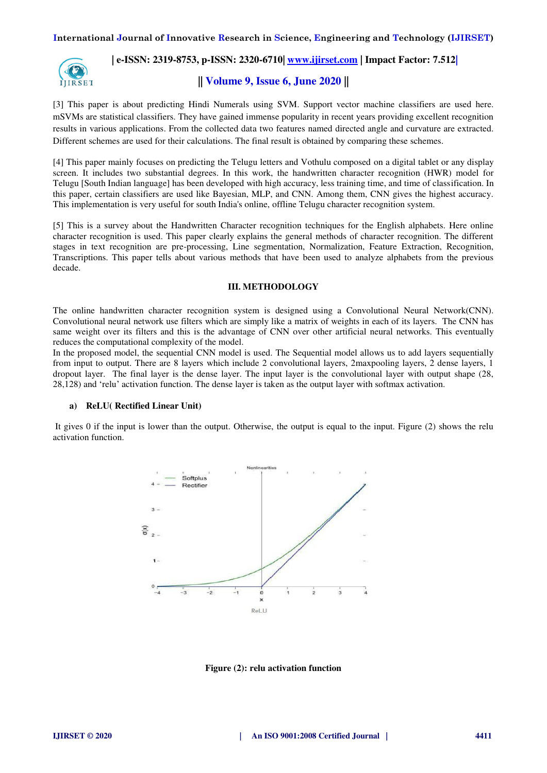

**|| Volume 9, Issue 6, June 2020 ||** 

[3] This paper is about predicting Hindi Numerals using SVM. Support vector machine classifiers are used here. mSVMs are statistical classifiers. They have gained immense popularity in recent years providing excellent recognition results in various applications. From the collected data two features named directed angle and curvature are extracted. Different schemes are used for their calculations. The final result is obtained by comparing these schemes.

[4] This paper mainly focuses on predicting the Telugu letters and Vothulu composed on a digital tablet or any display screen. It includes two substantial degrees. In this work, the handwritten character recognition (HWR) model for Telugu [South Indian language] has been developed with high accuracy, less training time, and time of classification. In this paper, certain classifiers are used like Bayesian, MLP, and CNN. Among them, CNN gives the highest accuracy. This implementation is very useful for south India's online, offline Telugu character recognition system.

[5] This is a survey about the Handwritten Character recognition techniques for the English alphabets. Here online character recognition is used. This paper clearly explains the general methods of character recognition. The different stages in text recognition are pre-processing, Line segmentation, Normalization, Feature Extraction, Recognition, Transcriptions. This paper tells about various methods that have been used to analyze alphabets from the previous decade.

#### **III. METHODOLOGY**

The online handwritten character recognition system is designed using a Convolutional Neural Network(CNN). Convolutional neural network use filters which are simply like a matrix of weights in each of its layers. The CNN has same weight over its filters and this is the advantage of CNN over other artificial neural networks. This eventually reduces the computational complexity of the model.

In the proposed model, the sequential CNN model is used. The Sequential model allows us to add layers sequentially from input to output. There are 8 layers which include 2 convolutional layers, 2maxpooling layers, 2 dense layers, 1 dropout layer. The final layer is the dense layer. The input layer is the convolutional layer with output shape (28, 28,128) and 'relu' activation function. The dense layer is taken as the output layer with softmax activation.

#### **a) ReLU( Rectified Linear Unit)**

 It gives 0 if the input is lower than the output. Otherwise, the output is equal to the input. Figure (2) shows the relu activation function.



**Figure (2): relu activation function**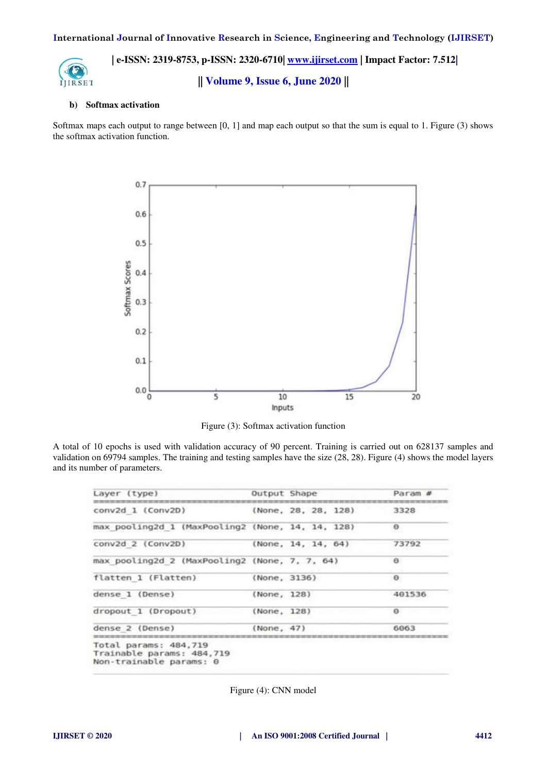

**|| Volume 9, Issue 6, June 2020 ||** 

#### **b) Softmax activation**

Softmax maps each output to range between [0, 1] and map each output so that the sum is equal to 1. Figure (3) shows the softmax activation function.



Figure (3): Softmax activation function

A total of 10 epochs is used with validation accuracy of 90 percent. Training is carried out on 628137 samples and validation on 69794 samples. The training and testing samples have the size (28, 28). Figure (4) shows the model layers and its number of parameters.

| Layer (type)                                                                  |              | Output Shape        | Param #  |
|-------------------------------------------------------------------------------|--------------|---------------------|----------|
| conv2d 1 (Conv2D)                                                             |              | (None, 28, 28, 128) | 3328     |
| max pooling2d 1 (MaxPooling2 (None, 14, 14, 128)                              |              |                     | $\theta$ |
| conv2d 2 (Conv2D)                                                             |              | (None, 14, 14, 64)  | 73792    |
| max pooling2d 2 (MaxPooling2 (None, 7, 7, 64)                                 |              |                     | $\theta$ |
| flatten 1 (Flatten)                                                           | (None, 3136) |                     | $\Theta$ |
| dense 1 (Dense)                                                               | (None, 128)  |                     | 401536   |
| dropout 1 (Dropout)                                                           | (None, 128)  |                     | $\Theta$ |
| dense 2 (Dense)                                                               | (None, 47)   |                     | 6063     |
| Total params: 484,719<br>Trainable params: 484,719<br>Non-trainable params: 0 |              |                     |          |

Figure (4): CNN model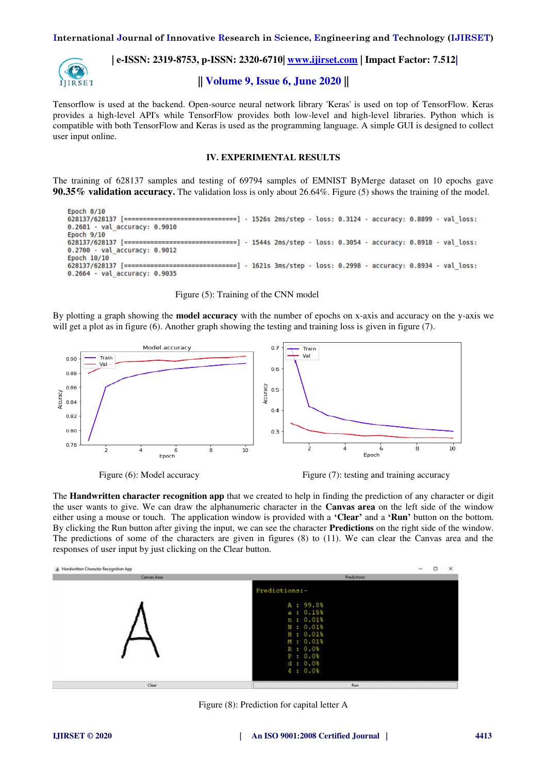**International Journal of Innovative Research in Science, Engineering and Technology (IJIRSET)** 



 **| e-ISSN: 2319-8753, p-ISSN: 2320-6710| [www.ijirset.com](http://www.ijirset.com/) | Impact Factor: 7.512|**

**|| Volume 9, Issue 6, June 2020 ||** 

Tensorflow is used at the backend. Open-source neural network library 'Keras' is used on top of TensorFlow. Keras provides a high-level API's while TensorFlow provides both low-level and high-level libraries. Python which is compatible with both TensorFlow and Keras is used as the programming language. A simple GUI is designed to collect user input online.

### **IV. EXPERIMENTAL RESULTS**

The training of 628137 samples and testing of 69794 samples of EMNIST ByMerge dataset on 10 epochs gave **90.35% validation accuracy.** The validation loss is only about 26.64%. Figure (5) shows the training of the model.

Epoch 8/10 =============] - 1526s 2ms/step - loss: 0.3124 - accuracy: 0.8899 - val loss: 628137/628137 [============== 0.2681 - val accuracy: 0.9010 Epoch 9/10 628137/628137 [======= - 1544s 2ms/step - loss: 0.3054 - accuracy: 0.8918 - val loss: 0.2700 - val accuracy: 0.9012 Epoch 10/10 628137/628137 [========= ============] - 1621s 3ms/step - loss: 0.2998 - accuracy: 0.8934 - val loss: 0.2664 - val\_accuracy: 0.9035

Figure (5): Training of the CNN model

By plotting a graph showing the **model accuracy** with the number of epochs on x-axis and accuracy on the y-axis we will get a plot as in figure (6). Another graph showing the testing and training loss is given in figure (7).



Figure (6): Model accuracy Figure (7): testing and training accuracy

The **Handwritten character recognition app** that we created to help in finding the prediction of any character or digit the user wants to give. We can draw the alphanumeric character in the **Canvas area** on the left side of the window either using a mouse or touch. The application window is provided with a **'Clear'** and a **'Run'** button on the bottom. By clicking the Run button after giving the input, we can see the character **Predictions** on the right side of the window. The predictions of some of the characters are given in figures (8) to (11). We can clear the Canvas area and the responses of user input by just clicking on the Clear button.



Figure (8): Prediction for capital letter A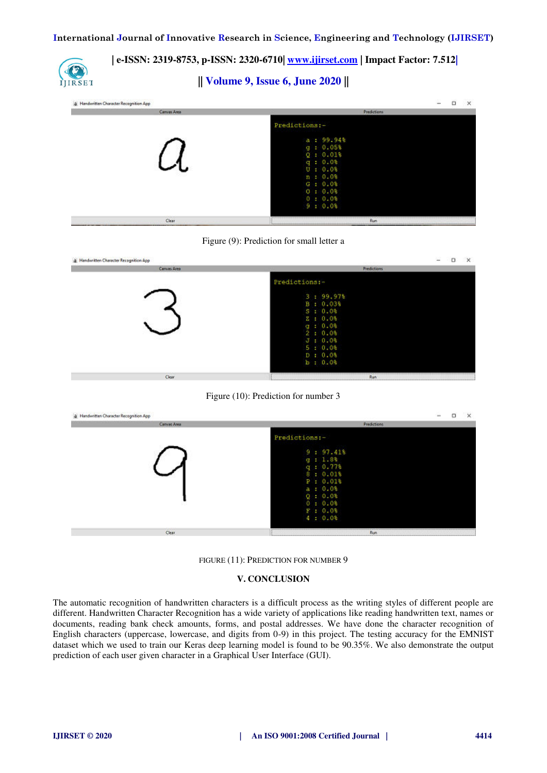

**|| Volume 9, Issue 6, June 2020 ||** 

| a Handwritten Character Recognition App<br>Canvas Area | ö<br>고<br>$\times$<br><b>Predictions</b>                                                                             |
|--------------------------------------------------------|----------------------------------------------------------------------------------------------------------------------|
|                                                        | Predictions:-                                                                                                        |
|                                                        | $a = 99.94%$<br>g : 0.05%<br>Q: 0.018<br>$q = 0.08$<br>0:0.08<br>n: 0.08<br>$G = 0.08$<br>0:0.08<br>0:0.08<br>9:0.08 |
| <b>Clear</b>                                           | <br>Run                                                                                                              |

Figure (9): Prediction for small letter a

| di Handwritten Character Recognition App | $\sim$<br>$\times$<br>$-0$                                                                                                     |
|------------------------------------------|--------------------------------------------------------------------------------------------------------------------------------|
| Canvas Area                              | <b>Predictions</b>                                                                                                             |
|                                          | Predictions:-<br>3:99.97%<br>B: 0.03%<br>5:0.0%<br>$Z = 0.08$<br>g : 0.0<br>2:0.0%<br>J: 0.03<br>5:0.0%<br>D: 0.08<br>b : 0.0% |
| Clear:                                   | <b>Run</b>                                                                                                                     |





FIGURE (11): PREDICTION FOR NUMBER 9

# **V. CONCLUSION**

The automatic recognition of handwritten characters is a difficult process as the writing styles of different people are different. Handwritten Character Recognition has a wide variety of applications like reading handwritten text, names or documents, reading bank check amounts, forms, and postal addresses. We have done the character recognition of English characters (uppercase, lowercase, and digits from 0-9) in this project. The testing accuracy for the EMNIST dataset which we used to train our Keras deep learning model is found to be 90.35%. We also demonstrate the output prediction of each user given character in a Graphical User Interface (GUI).